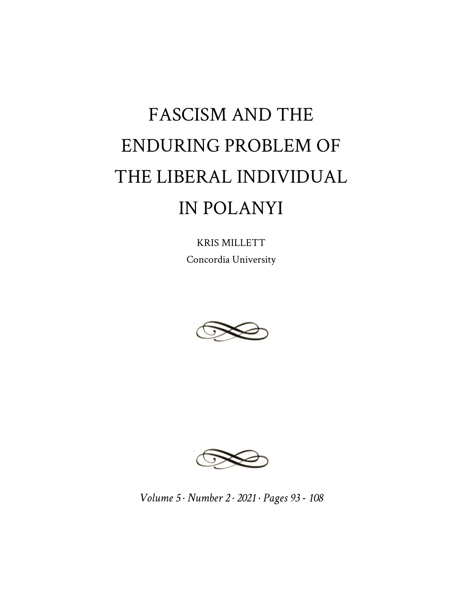# FASCISM AND THE ENDURING PROBLEM OF THE LIBERAL INDIVIDUAL IN POLANYI

KRIS MILLETT Concordia University





*Volume 5 · Number 2 · 2021 · Pages 93 - 108*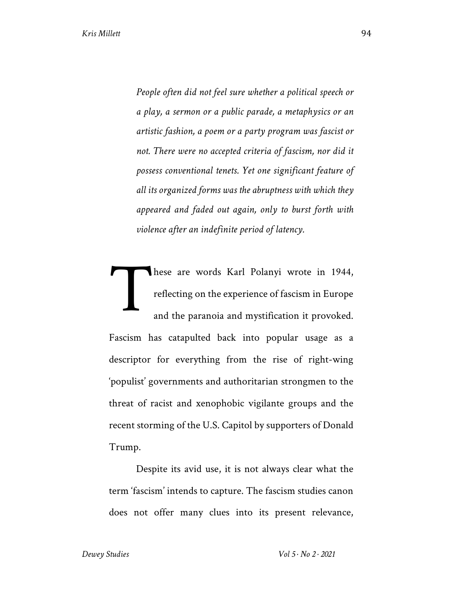*People often did not feel sure whether a political speech or a play, a sermon or a public parade, a metaphysics or an artistic fashion, a poem or a party program was fascist or not. There were no accepted criteria of fascism, nor did it possess conventional tenets. Yet one significant feature of all its organized forms was the abruptness with which they appeared and faded out again, only to burst forth with violence after an indefinite period of latency.*

hese are words Karl Polanyi wrote in 1944, reflecting on the experience of fascism in Europe and the paranoia and mystification it provoked. Fascism has catapulted back into popular usage as a descriptor for everything from the rise of right-wing 'populist' governments and authoritarian strongmen to the threat of racist and xenophobic vigilante groups and the recent storming of the U.S. Capitol by supporters of Donald Trump. T

Despite its avid use, it is not always clear what the term 'fascism' intends to capture. The fascism studies canon does not offer many clues into its present relevance,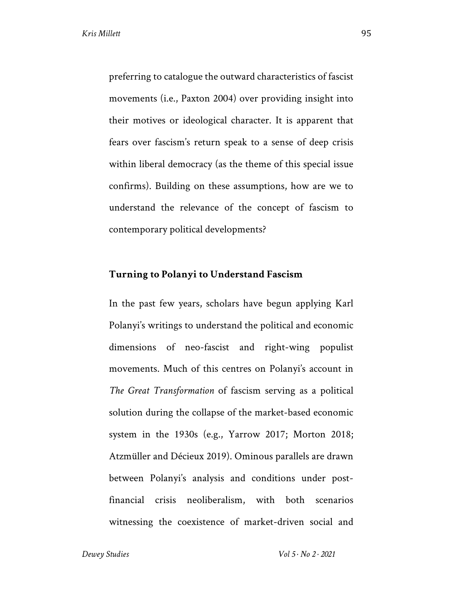preferring to catalogue the outward characteristics of fascist movements (i.e., Paxton 2004) over providing insight into their motives or ideological character. It is apparent that fears over fascism's return speak to a sense of deep crisis within liberal democracy (as the theme of this special issue confirms). Building on these assumptions, how are we to understand the relevance of the concept of fascism to contemporary political developments?

### **Turning to Polanyi to Understand Fascism**

In the past few years, scholars have begun applying Karl Polanyi's writings to understand the political and economic dimensions of neo-fascist and right-wing populist movements. Much of this centres on Polanyi's account in *The Great Transformation* of fascism serving as a political solution during the collapse of the market-based economic system in the 1930s (e.g., Yarrow 2017; Morton 2018; Atzmüller and Décieux 2019). Ominous parallels are drawn between Polanyi's analysis and conditions under postfinancial crisis neoliberalism, with both scenarios witnessing the coexistence of market-driven social and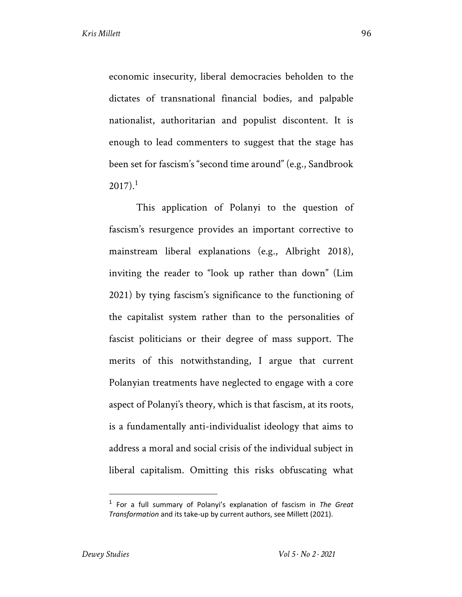economic insecurity, liberal democracies beholden to the dictates of transnational financial bodies, and palpable nationalist, authoritarian and populist discontent. It is enough to lead commenters to suggest that the stage has been set for fascism's "second time around" (e.g., Sandbrook  $2017$ ).<sup>1</sup>

This application of Polanyi to the question of fascism's resurgence provides an important corrective to mainstream liberal explanations (e.g., Albright 2018), inviting the reader to "look up rather than down" (Lim 2021) by tying fascism's significance to the functioning of the capitalist system rather than to the personalities of fascist politicians or their degree of mass support. The merits of this notwithstanding, I argue that current Polanyian treatments have neglected to engage with a core aspect of Polanyi's theory, which is that fascism, at its roots, is a fundamentally anti-individualist ideology that aims to address a moral and social crisis of the individual subject in liberal capitalism. Omitting this risks obfuscating what

<sup>1</sup> For a full summary of Polanyi's explanation of fascism in *The Great Transformation* and its take-up by current authors, see Millett (2021).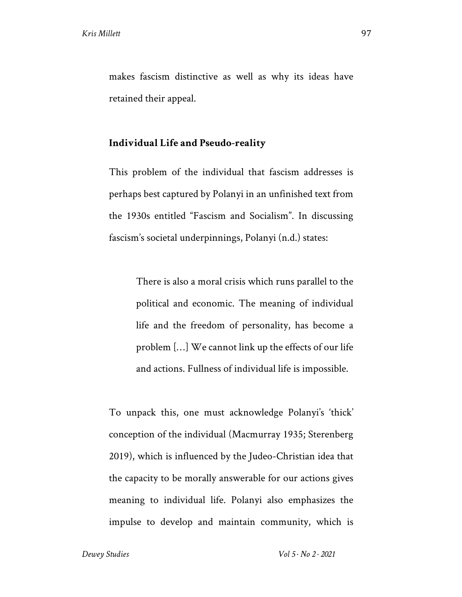makes fascism distinctive as well as why its ideas have retained their appeal.

# **Individual Life and Pseudo-reality**

This problem of the individual that fascism addresses is perhaps best captured by Polanyi in an unfinished text from the 1930s entitled "Fascism and Socialism". In discussing fascism's societal underpinnings, Polanyi (n.d.) states:

> There is also a moral crisis which runs parallel to the political and economic. The meaning of individual life and the freedom of personality, has become a problem […] We cannot link up the effects of our life and actions. Fullness of individual life is impossible.

To unpack this, one must acknowledge Polanyi's 'thick' conception of the individual (Macmurray 1935; Sterenberg 2019), which is influenced by the Judeo-Christian idea that the capacity to be morally answerable for our actions gives meaning to individual life. Polanyi also emphasizes the impulse to develop and maintain community, which is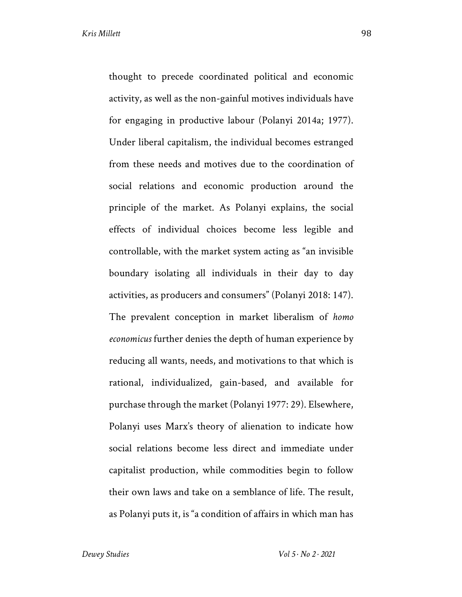thought to precede coordinated political and economic activity, as well as the non-gainful motives individuals have for engaging in productive labour (Polanyi 2014a; 1977). Under liberal capitalism, the individual becomes estranged from these needs and motives due to the coordination of social relations and economic production around the principle of the market. As Polanyi explains, the social effects of individual choices become less legible and controllable, with the market system acting as "an invisible boundary isolating all individuals in their day to day activities, as producers and consumers" (Polanyi 2018: 147). The prevalent conception in market liberalism of *homo economicus* further denies the depth of human experience by reducing all wants, needs, and motivations to that which is rational, individualized, gain-based, and available for purchase through the market (Polanyi 1977: 29). Elsewhere, Polanyi uses Marx's theory of alienation to indicate how social relations become less direct and immediate under capitalist production, while commodities begin to follow their own laws and take on a semblance of life. The result, as Polanyi puts it, is "a condition of affairs in which man has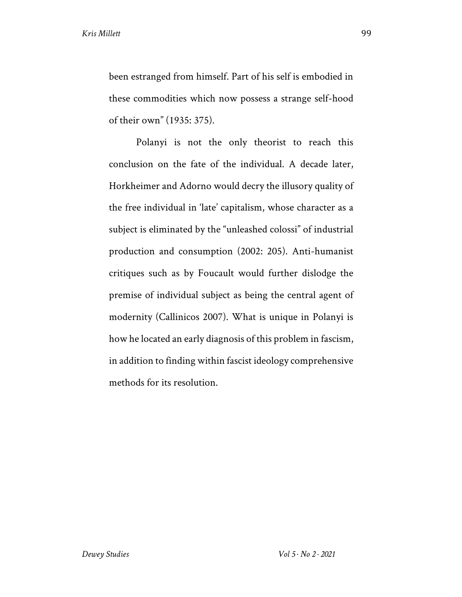been estranged from himself. Part of his self is embodied in these commodities which now possess a strange self-hood of their own" (1935: 375).

Polanyi is not the only theorist to reach this conclusion on the fate of the individual. A decade later, Horkheimer and Adorno would decry the illusory quality of the free individual in 'late' capitalism, whose character as a subject is eliminated by the "unleashed colossi" of industrial production and consumption (2002: 205). Anti-humanist critiques such as by Foucault would further dislodge the premise of individual subject as being the central agent of modernity (Callinicos 2007). What is unique in Polanyi is how he located an early diagnosis of this problem in fascism, in addition to finding within fascist ideology comprehensive methods for its resolution.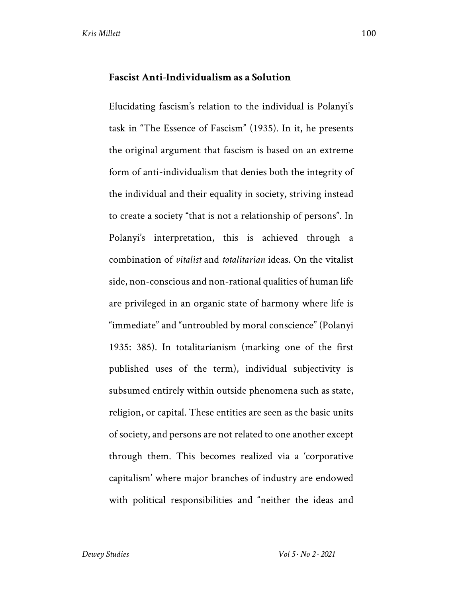#### **Fascist Anti-Individualism as a Solution**

Elucidating fascism's relation to the individual is Polanyi's task in "The Essence of Fascism" (1935). In it, he presents the original argument that fascism is based on an extreme form of anti-individualism that denies both the integrity of the individual and their equality in society, striving instead to create a society "that is not a relationship of persons". In Polanyi's interpretation, this is achieved through a combination of *vitalist* and *totalitarian* ideas. On the vitalist side, non-conscious and non-rational qualities of human life are privileged in an organic state of harmony where life is "immediate" and "untroubled by moral conscience" (Polanyi 1935: 385). In totalitarianism (marking one of the first published uses of the term), individual subjectivity is subsumed entirely within outside phenomena such as state, religion, or capital. These entities are seen as the basic units of society, and persons are not related to one another except through them. This becomes realized via a 'corporative capitalism' where major branches of industry are endowed with political responsibilities and "neither the ideas and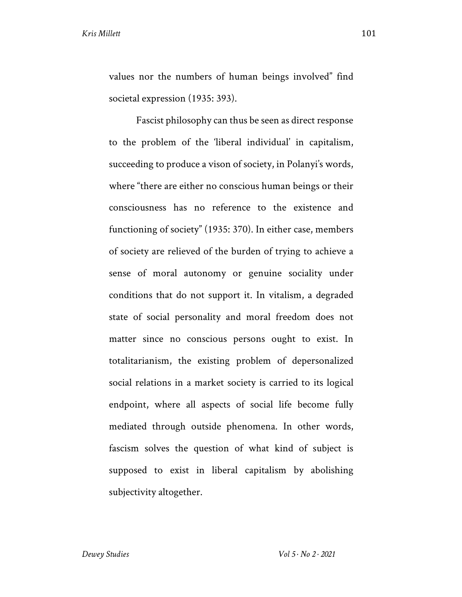values nor the numbers of human beings involved" find societal expression (1935: 393).

Fascist philosophy can thus be seen as direct response to the problem of the 'liberal individual' in capitalism, succeeding to produce a vison of society, in Polanyi's words, where "there are either no conscious human beings or their consciousness has no reference to the existence and functioning of society" (1935: 370). In either case, members of society are relieved of the burden of trying to achieve a sense of moral autonomy or genuine sociality under conditions that do not support it. In vitalism, a degraded state of social personality and moral freedom does not matter since no conscious persons ought to exist. In totalitarianism, the existing problem of depersonalized social relations in a market society is carried to its logical endpoint, where all aspects of social life become fully mediated through outside phenomena. In other words, fascism solves the question of what kind of subject is supposed to exist in liberal capitalism by abolishing subjectivity altogether.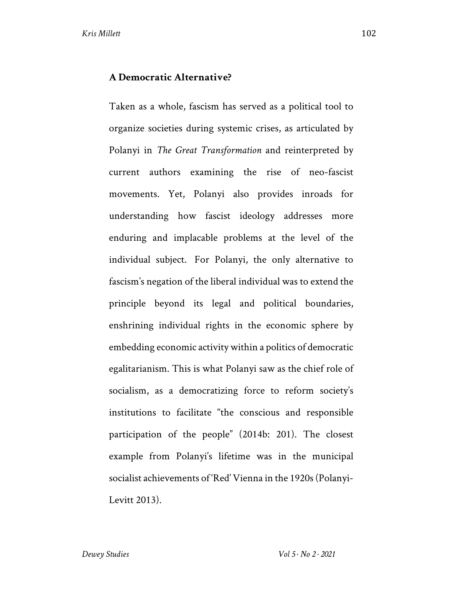Taken as a whole, fascism has served as a political tool to organize societies during systemic crises, as articulated by Polanyi in *The Great Transformation* and reinterpreted by current authors examining the rise of neo-fascist movements. Yet, Polanyi also provides inroads for understanding how fascist ideology addresses more enduring and implacable problems at the level of the individual subject. For Polanyi, the only alternative to fascism's negation of the liberal individual was to extend the principle beyond its legal and political boundaries, enshrining individual rights in the economic sphere by embedding economic activity within a politics of democratic egalitarianism. This is what Polanyi saw as the chief role of socialism, as a democratizing force to reform society's institutions to facilitate "the conscious and responsible participation of the people" (2014b: 201). The closest example from Polanyi's lifetime was in the municipal socialist achievements of 'Red' Vienna in the 1920s (Polanyi-Levitt 2013).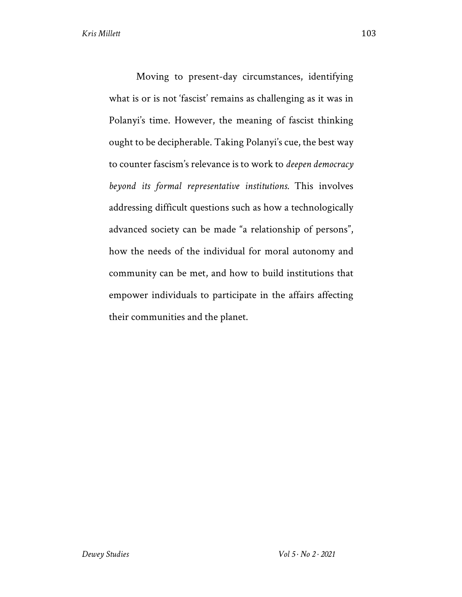Moving to present-day circumstances, identifying what is or is not 'fascist' remains as challenging as it was in Polanyi's time. However, the meaning of fascist thinking ought to be decipherable. Taking Polanyi's cue, the best way to counter fascism's relevance is to work to *deepen democracy beyond its formal representative institutions.* This involves addressing difficult questions such as how a technologically advanced society can be made "a relationship of persons", how the needs of the individual for moral autonomy and community can be met, and how to build institutions that empower individuals to participate in the affairs affecting their communities and the planet.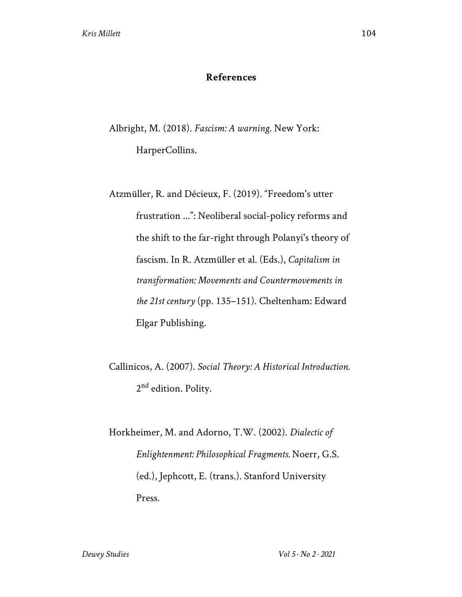## **References**

Albright, M. (2018). *Fascism: A warning*. New York: HarperCollins.

Atzmüller, R. and Décieux, F. (2019). "Freedom's utter frustration ...": Neoliberal social-policy reforms and the shift to the far-right through Polanyi's theory of fascism. In R. Atzmüller et al. (Eds.), *Capitalism in transformation: Movements and Countermovements in the 21st century* (pp. 135–151). Cheltenham: Edward Elgar Publishing.

Callinicos, A. (2007). *Social Theory: A Historical Introduction.*  2<sup>nd</sup> edition. Polity.

Horkheimer, M. and Adorno, T.W. (2002). *Dialectic of Enlightenment: Philosophical Fragments.* Noerr, G.S. (ed.), Jephcott, E. (trans.). Stanford University Press.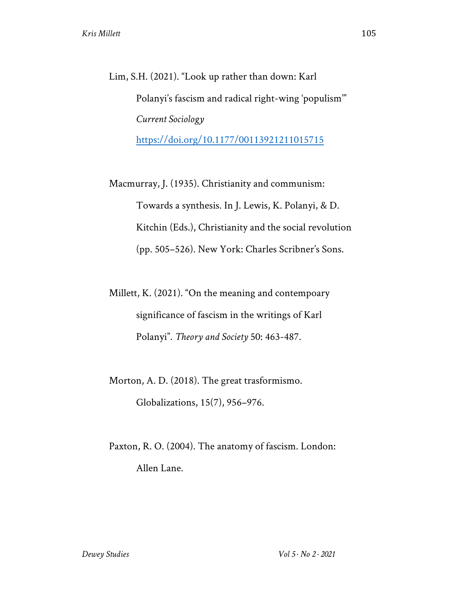Lim, S.H. (2021). "Look up rather than down: Karl Polanyi's fascism and radical right-wing 'populism'" *Current Sociology*  https://doi.org/10.1177/00113921211015715

Macmurray, J. (1935). Christianity and communism: Towards a synthesis. In J. Lewis, K. Polanyi, & D. Kitchin (Eds.), Christianity and the social revolution (pp. 505–526). New York: Charles Scribner's Sons.

Millett, K. (2021). "On the meaning and contempoary significance of fascism in the writings of Karl Polanyi". *Theory and Society* 50: 463-487.

Morton, A. D. (2018). The great trasformismo. Globalizations, 15(7), 956–976.

Paxton, R. O. (2004). The anatomy of fascism. London: Allen Lane.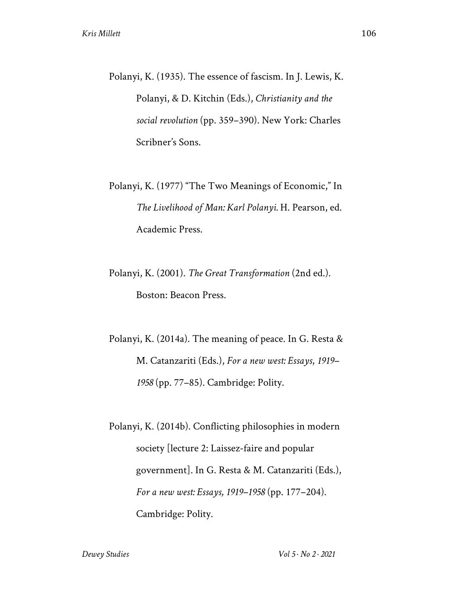- Polanyi, K. (1935). The essence of fascism. In J. Lewis, K. Polanyi, & D. Kitchin (Eds.), *Christianity and the social revolution* (pp. 359–390). New York: Charles Scribner's Sons.
- Polanyi, K. (1977) "The Two Meanings of Economic," In *The Livelihood of Man: Karl Polanyi.* H. Pearson, ed. Academic Press.
- Polanyi, K. (2001). *The Great Transformation* (2nd ed.). Boston: Beacon Press.

Polanyi, K. (2014a). The meaning of peace. In G. Resta & M. Catanzariti (Eds.), *For a new west: Essays*, *1919– 1958* (pp. 77–85). Cambridge: Polity.

Polanyi, K. (2014b). Conflicting philosophies in modern society [lecture 2: Laissez-faire and popular government]. In G. Resta & M. Catanzariti (Eds.), *For a new west: Essays, 1919–1958* (pp. 177–204). Cambridge: Polity.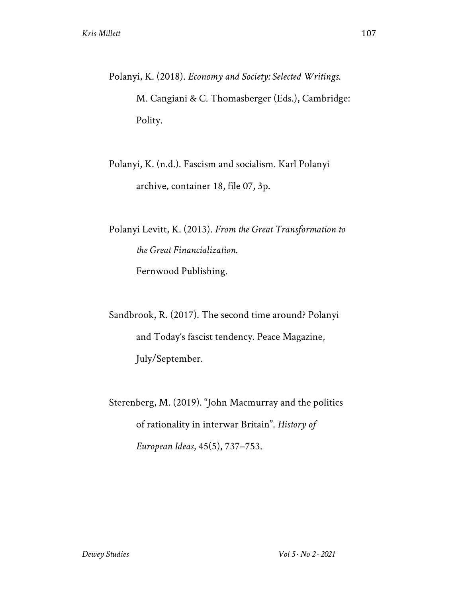Polanyi, K. (2018). *Economy and Society: Selected Writings*. M. Cangiani & C. Thomasberger (Eds.), Cambridge: Polity.

Polanyi, K. (n.d.). Fascism and socialism. Karl Polanyi archive, container 18, file 07, 3p.

Polanyi Levitt, K. (2013). *From the Great Transformation to the Great Financialization.*  Fernwood Publishing.

Sandbrook, R. (2017). The second time around? Polanyi and Today's fascist tendency. Peace Magazine, July/September.

Sterenberg, M. (2019). "John Macmurray and the politics of rationality in interwar Britain". *History of European Ideas*, 45(5), 737–753.